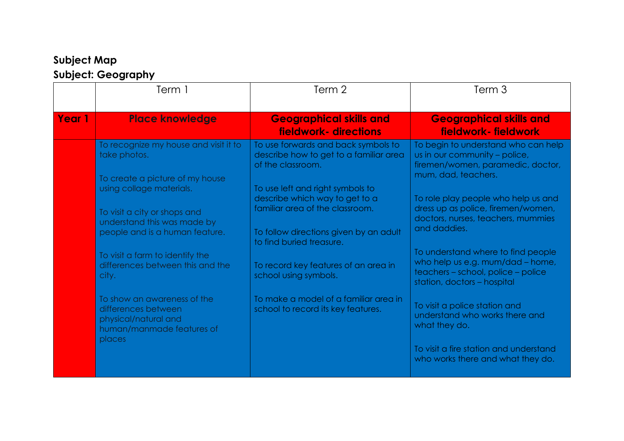## **Subject Map Subject: Geography**

|        | Term 1                                                                                                            | Term 2                                                                                                | Term <sub>3</sub>                                                                                                                           |
|--------|-------------------------------------------------------------------------------------------------------------------|-------------------------------------------------------------------------------------------------------|---------------------------------------------------------------------------------------------------------------------------------------------|
| Year 1 | <b>Place knowledge</b>                                                                                            | <b>Geographical skills and</b><br>fieldwork- directions                                               | <b>Geographical skills and</b><br>fieldwork-fieldwork                                                                                       |
|        | To recognize my house and visit it to<br>take photos.                                                             | To use forwards and back symbols to<br>describe how to get to a familiar area<br>of the classroom.    | To begin to understand who can help<br>us in our community - police,<br>firemen/women, paramedic, doctor,                                   |
|        | To create a picture of my house<br>using collage materials.                                                       | To use left and right symbols to<br>describe which way to get to a                                    | mum, dad, teachers.<br>To role play people who help us and                                                                                  |
|        | To visit a city or shops and<br>understand this was made by<br>people and is a human feature.                     | familiar area of the classroom.<br>To follow directions given by an adult<br>to find buried treasure. | dress up as police, firemen/women,<br>doctors, nurses, teachers, mummies<br>and daddies.                                                    |
|        | To visit a farm to identify the<br>differences between this and the<br>city.                                      | To record key features of an area in<br>school using symbols.                                         | To understand where to find people<br>who help us e.g. mum/dad - home,<br>teachers - school, police - police<br>station, doctors - hospital |
|        | To show an awareness of the<br>differences between<br>physical/natural and<br>human/manmade features of<br>places | To make a model of a familiar area in<br>school to record its key features.                           | To visit a police station and<br>understand who works there and<br>what they do.                                                            |
|        |                                                                                                                   |                                                                                                       | To visit a fire station and understand<br>who works there and what they do.                                                                 |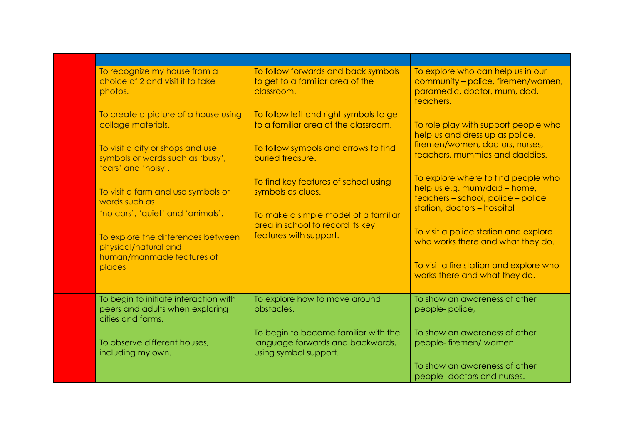| To recognize my house from a<br>choice of 2 and visit it to take<br>photos.                                                                                                                                      | To follow forwards and back symbols<br>to get to a familiar area of the<br>classroom.                                                                                                                    | To explore who can help us in our<br>community - police, firemen/women,<br>paramedic, doctor, mum, dad,<br>teachers.                                                                                                                                                                     |
|------------------------------------------------------------------------------------------------------------------------------------------------------------------------------------------------------------------|----------------------------------------------------------------------------------------------------------------------------------------------------------------------------------------------------------|------------------------------------------------------------------------------------------------------------------------------------------------------------------------------------------------------------------------------------------------------------------------------------------|
| To create a picture of a house using<br>collage materials.<br>To visit a city or shops and use<br>symbols or words such as 'busy',<br>'cars' and 'noisy'.<br>To visit a farm and use symbols or<br>words such as | To follow left and right symbols to get<br>to a familiar area of the classroom.<br>To follow symbols and arrows to find<br>buried treasure.<br>To find key features of school using<br>symbols as clues. | To role play with support people who<br>help us and dress up as police,<br>firemen/women, doctors, nurses,<br>teachers, mummies and daddies.<br>To explore where to find people who<br>help us e.g. mum/dad - home,<br>teachers - school, police - police<br>station, doctors - hospital |
| 'no cars', 'quiet' and 'animals'.<br>To explore the differences between<br>physical/natural and<br>human/manmade features of<br>places                                                                           | To make a simple model of a familiar<br>area in school to record its key<br>features with support.                                                                                                       | To visit a police station and explore<br>who works there and what they do.<br>To visit a fire station and explore who<br>works there and what they do.                                                                                                                                   |
| To begin to initiate interaction with<br>peers and adults when exploring<br>cities and farms.<br>To observe different houses,<br>including my own.                                                               | To explore how to move around<br>obstacles.<br>To begin to become familiar with the<br>language forwards and backwards,<br>using symbol support.                                                         | To show an awareness of other<br>people-police,<br>To show an awareness of other<br>people-firemen/women                                                                                                                                                                                 |
|                                                                                                                                                                                                                  |                                                                                                                                                                                                          | To show an awareness of other<br>people-doctors and nurses.                                                                                                                                                                                                                              |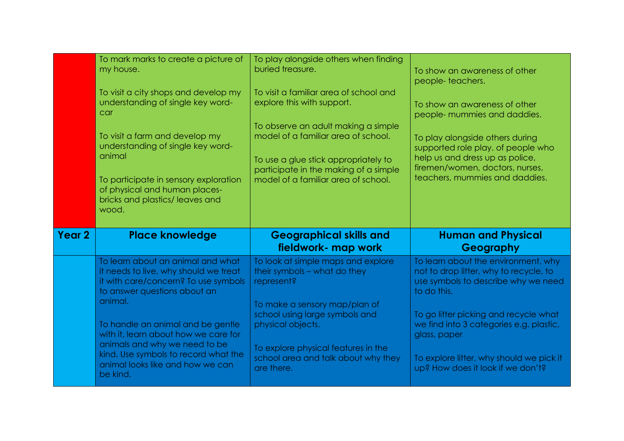|               | To mark marks to create a picture of<br>my house.                                                                                                  | To play alongside others when finding<br>buried treasure.                                                                   | To show an awareness of other<br>people-teachers.                                                                                   |
|---------------|----------------------------------------------------------------------------------------------------------------------------------------------------|-----------------------------------------------------------------------------------------------------------------------------|-------------------------------------------------------------------------------------------------------------------------------------|
|               | To visit a city shops and develop my<br>understanding of single key word-<br>car                                                                   | To visit a familiar area of school and<br>explore this with support.                                                        | To show an awareness of other<br>people- mummies and daddies.                                                                       |
|               | To visit a farm and develop my<br>understanding of single key word-<br>animal                                                                      | To observe an adult making a simple<br>model of a familiar area of school.<br>To use a glue stick appropriately to          | To play alongside others during<br>supported role play, of people who<br>help us and dress up as police,                            |
|               | To participate in sensory exploration<br>of physical and human places-<br>bricks and plastics/leaves and<br>wood.                                  | participate in the making of a simple<br>model of a familiar area of school.                                                | firemen/women, doctors, nurses,<br>teachers, mummies and daddies.                                                                   |
|               |                                                                                                                                                    |                                                                                                                             |                                                                                                                                     |
| <b>Year 2</b> | <b>Place knowledge</b>                                                                                                                             | <b>Geographical skills and</b><br>fieldwork- map work                                                                       | <b>Human and Physical</b><br>Geography                                                                                              |
|               | To learn about an animal and what<br>it needs to live, why should we treat<br>it with care/concern? To use symbols<br>to answer questions about an | To look at simple maps and explore<br>their symbols - what do they<br>represent?                                            | To learn about the environment, why<br>not to drop litter, why to recycle, to<br>use symbols to describe why we need<br>to do this. |
|               | animal.<br>To handle an animal and be gentle<br>with it, learn about how we care for<br>animals and why we need to be                              | To make a sensory map/plan of<br>school using large symbols and<br>physical objects.<br>To explore physical features in the | To go litter picking and recycle what<br>we find into 3 categories e.g. plastic,<br>glass, paper                                    |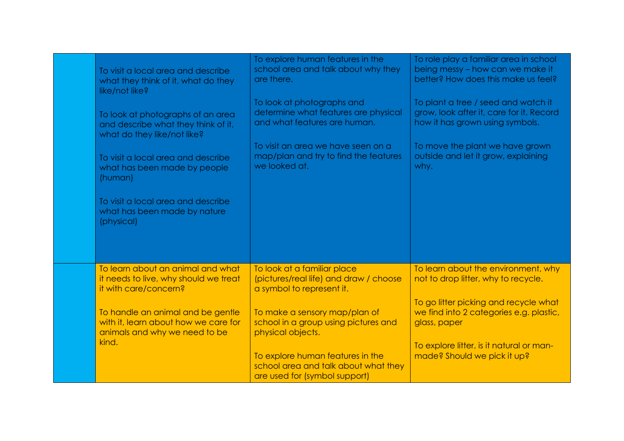| To visit a local area and describe                                                                  | To explore human features in the                                                                          | To role play a familiar area in school                                     |
|-----------------------------------------------------------------------------------------------------|-----------------------------------------------------------------------------------------------------------|----------------------------------------------------------------------------|
| what they think of it, what do they                                                                 | school area and talk about why they                                                                       | being messy - how can we make it                                           |
| like/not like?                                                                                      | are there.                                                                                                | better? How does this make us feel?                                        |
| To look at photographs of an area                                                                   | To look at photographs and                                                                                | To plant a tree / seed and watch it                                        |
| and describe what they think of it,                                                                 | determine what features are physical                                                                      | grow, look after it, care for it. Record                                   |
| what do they like/not like?                                                                         | and what features are human.                                                                              | how it has grown using symbols.                                            |
| To visit a local area and describe                                                                  | To visit an area we have seen on a                                                                        | To move the plant we have grown                                            |
| what has been made by people                                                                        | map/plan and try to find the features                                                                     | outside and let it grow, explaining                                        |
| (human)                                                                                             | we looked at.                                                                                             | why.                                                                       |
| To visit a local area and describe<br>what has been made by nature<br>(physical)                    |                                                                                                           |                                                                            |
|                                                                                                     |                                                                                                           |                                                                            |
| To learn about an animal and what<br>it needs to live, why should we treat<br>it with care/concern? | To look at a familiar place<br>(pictures/real life) and draw / choose<br>a symbol to represent it.        | To learn about the environment, why<br>not to drop litter, why to recycle. |
| To handle an animal and be gentle                                                                   | To make a sensory map/plan of                                                                             | To go litter picking and recycle what                                      |
| with it, learn about how we care for                                                                | school in a group using pictures and                                                                      | we find into 2 categories e.g. plastic,                                    |
| animals and why we need to be                                                                       | physical objects.                                                                                         | glass, paper                                                               |
| kind.                                                                                               | To explore human features in the<br>school area and talk about what they<br>are used for (symbol support) |                                                                            |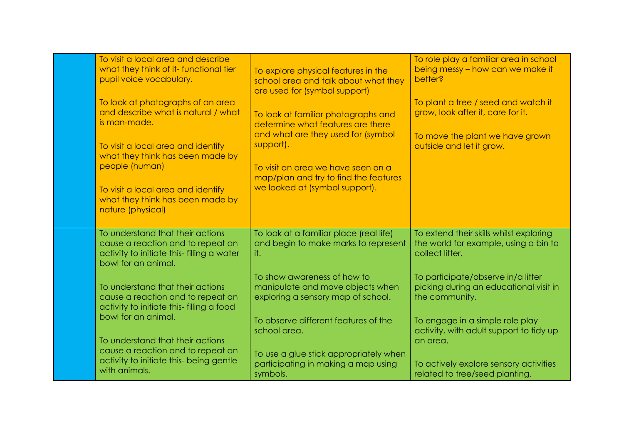| To visit a local area and describe<br>what they think of it- functional tier<br>pupil voice vocabulary.<br>To look at photographs of an area<br>and describe what is natural / what<br>is man-made.<br>To visit a local area and identify<br>what they think has been made by<br>people (human)<br>To visit a local area and identify<br>what they think has been made by<br>nature (physical) | To explore physical features in the<br>school area and talk about what they<br>are used for (symbol support)<br>To look at familiar photographs and<br>determine what features are there<br>and what are they used for (symbol<br>support).<br>To visit an area we have seen on a<br>map/plan and try to find the features<br>we looked at (symbol support). | To role play a familiar area in school<br>being messy – how can we make it<br>better?<br>To plant a tree / seed and watch it<br>grow, look after it, care for it.<br>To move the plant we have grown<br>outside and let it grow. |
|------------------------------------------------------------------------------------------------------------------------------------------------------------------------------------------------------------------------------------------------------------------------------------------------------------------------------------------------------------------------------------------------|--------------------------------------------------------------------------------------------------------------------------------------------------------------------------------------------------------------------------------------------------------------------------------------------------------------------------------------------------------------|----------------------------------------------------------------------------------------------------------------------------------------------------------------------------------------------------------------------------------|
| To understand that their actions<br>cause a reaction and to repeat an<br>activity to initiate this- filling a water<br>bowl for an animal.                                                                                                                                                                                                                                                     | To look at a familiar place (real life)<br>and begin to make marks to represent<br>it.                                                                                                                                                                                                                                                                       | To extend their skills whilst exploring<br>the world for example, using a bin to<br>collect litter.                                                                                                                              |
| To understand that their actions                                                                                                                                                                                                                                                                                                                                                               | To show awareness of how to                                                                                                                                                                                                                                                                                                                                  | To participate/observe in/a litter                                                                                                                                                                                               |
| cause a reaction and to repeat an                                                                                                                                                                                                                                                                                                                                                              | manipulate and move objects when                                                                                                                                                                                                                                                                                                                             | picking during an educational visit in                                                                                                                                                                                           |
| activity to initiate this-filling a food                                                                                                                                                                                                                                                                                                                                                       | exploring a sensory map of school.                                                                                                                                                                                                                                                                                                                           | the community.                                                                                                                                                                                                                   |
| bowl for an animal.                                                                                                                                                                                                                                                                                                                                                                            | To observe different features of the                                                                                                                                                                                                                                                                                                                         | To engage in a simple role play                                                                                                                                                                                                  |
| To understand that their actions                                                                                                                                                                                                                                                                                                                                                               | school area.                                                                                                                                                                                                                                                                                                                                                 | activity, with adult support to tidy up                                                                                                                                                                                          |
| cause a reaction and to repeat an                                                                                                                                                                                                                                                                                                                                                              | To use a glue stick appropriately when                                                                                                                                                                                                                                                                                                                       | an area.                                                                                                                                                                                                                         |
| activity to initiate this- being gentle                                                                                                                                                                                                                                                                                                                                                        | participating in making a map using                                                                                                                                                                                                                                                                                                                          | To actively explore sensory activities                                                                                                                                                                                           |
| with animals.                                                                                                                                                                                                                                                                                                                                                                                  | symbols.                                                                                                                                                                                                                                                                                                                                                     | related to tree/seed planting.                                                                                                                                                                                                   |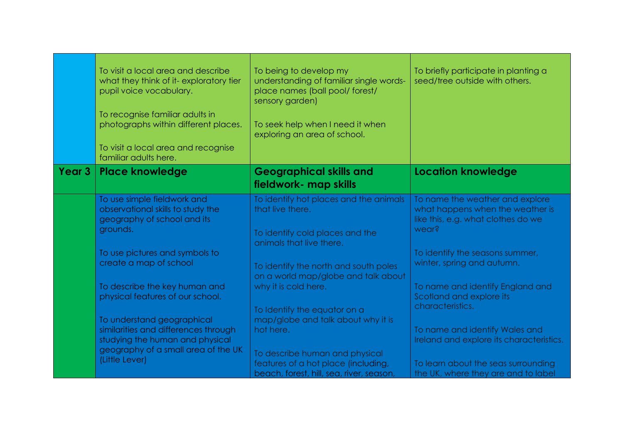|        | To visit a local area and describe<br>what they think of it-exploratory tier<br>pupil voice vocabulary.<br>To recognise familiar adults in<br>photographs within different places.<br>To visit a local area and recognise<br>familiar adults here. | To being to develop my<br>understanding of familiar single words-<br>place names (ball pool/ forest/<br>sensory garden)<br>To seek help when I need it when<br>exploring an area of school. | To briefly participate in planting a<br>seed/tree outside with others.                                             |
|--------|----------------------------------------------------------------------------------------------------------------------------------------------------------------------------------------------------------------------------------------------------|---------------------------------------------------------------------------------------------------------------------------------------------------------------------------------------------|--------------------------------------------------------------------------------------------------------------------|
| Year 3 | <b>Place knowledge</b>                                                                                                                                                                                                                             | <b>Geographical skills and</b><br>fieldwork- map skills                                                                                                                                     | <b>Location knowledge</b>                                                                                          |
|        | To use simple fieldwork and<br>observational skills to study the<br>geography of school and its<br>grounds.                                                                                                                                        | To identify hot places and the animals<br>that live there.<br>To identify cold places and the<br>animals that live there.                                                                   | To name the weather and explore<br>what happens when the weather is<br>like this, e.g. what clothes do we<br>wear? |
|        | To use pictures and symbols to<br>create a map of school<br>To describe the key human and                                                                                                                                                          | To identify the north and south poles<br>on a world map/globe and talk about<br>why it is cold here.                                                                                        | To identify the seasons summer,<br>winter, spring and autumn.<br>To name and identify England and                  |
|        | physical features of our school.<br>To understand geographical                                                                                                                                                                                     | To Identify the equator on a<br>map/globe and talk about why it is                                                                                                                          | Scotland and explore its<br>characteristics.                                                                       |
|        | similarities and differences through<br>studying the human and physical<br>geography of a small area of the UK                                                                                                                                     | hot here.<br>To describe human and physical                                                                                                                                                 | To name and identify Wales and<br>Ireland and explore its characteristics.                                         |
|        | (Little Lever)                                                                                                                                                                                                                                     | features of a hot place (including,<br>beach, forest, hill, sea, river, season,                                                                                                             | To learn about the seas surrounding<br>the UK, where they are and to label                                         |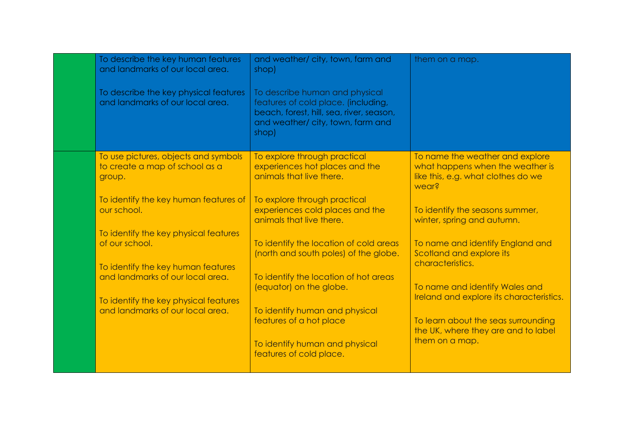| To describe the key human features<br>and landmarks of our local area.<br>To describe the key physical features<br>and landmarks of our local area. | and weather/city, town, farm and<br>shop)<br>To describe human and physical<br>features of cold place. (including,<br>beach, forest, hill, sea, river, season,<br>and weather/city, town, farm and<br>shop) | them on a map.                                                                                                                                                             |
|-----------------------------------------------------------------------------------------------------------------------------------------------------|-------------------------------------------------------------------------------------------------------------------------------------------------------------------------------------------------------------|----------------------------------------------------------------------------------------------------------------------------------------------------------------------------|
| To use pictures, objects and symbols<br>to create a map of school as a<br>group.                                                                    | To explore through practical<br>experiences hot places and the<br>animals that live there.                                                                                                                  | To name the weather and explore<br>what happens when the weather is<br>like this, e.g. what clothes do we<br>wear?                                                         |
| To identify the key human features of<br>our school.                                                                                                | To explore through practical<br>experiences cold places and the<br>animals that live there.                                                                                                                 | To identify the seasons summer,<br>winter, spring and autumn.                                                                                                              |
| To identify the key physical features<br>of our school.<br>To identify the key human features                                                       | To identify the location of cold areas<br>(north and south poles) of the globe.                                                                                                                             | To name and identify England and<br>Scotland and explore its<br>characteristics.                                                                                           |
| and landmarks of our local area.<br>To identify the key physical features<br>and landmarks of our local area.                                       | To identify the location of hot areas<br>(equator) on the globe.<br>To identify human and physical<br>features of a hot place                                                                               | To name and identify Wales and<br>Ireland and explore its characteristics.<br>To learn about the seas surrounding<br>the UK, where they are and to label<br>them on a map. |
|                                                                                                                                                     | To identify human and physical<br>features of cold place.                                                                                                                                                   |                                                                                                                                                                            |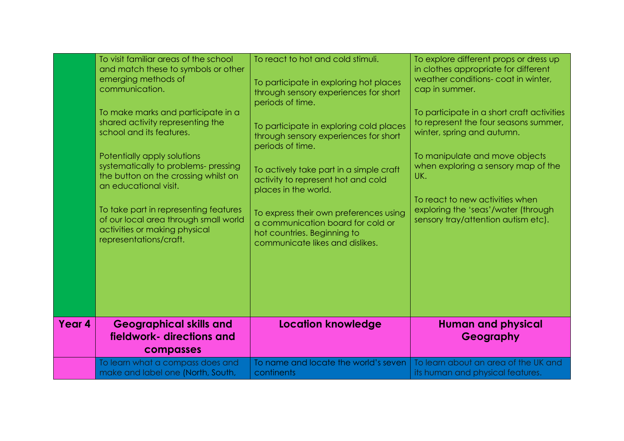|        | To visit familiar areas of the school<br>and match these to symbols or other<br>emerging methods of<br>communication.<br>To make marks and participate in a<br>shared activity representing the<br>school and its features.<br>Potentially apply solutions<br>systematically to problems- pressing<br>the button on the crossing whilst on<br>an educational visit.<br>To take part in representing features<br>of our local area through small world<br>activities or making physical<br>representations/craft. | To react to hot and cold stimuli.<br>To participate in exploring hot places<br>through sensory experiences for short<br>periods of time.<br>To participate in exploring cold places<br>through sensory experiences for short<br>periods of time.<br>To actively take part in a simple craft<br>activity to represent hot and cold<br>places in the world.<br>To express their own preferences using<br>a communication board for cold or<br>hot countries. Beginning to<br>communicate likes and dislikes. | To explore different props or dress up<br>in clothes appropriate for different<br>weather conditions- coat in winter,<br>cap in summer.<br>To participate in a short craft activities<br>to represent the four seasons summer,<br>winter, spring and autumn.<br>To manipulate and move objects<br>when exploring a sensory map of the<br>UK.<br>To react to new activities when<br>exploring the 'seas'/water (through<br>sensory tray/attention autism etc). |
|--------|------------------------------------------------------------------------------------------------------------------------------------------------------------------------------------------------------------------------------------------------------------------------------------------------------------------------------------------------------------------------------------------------------------------------------------------------------------------------------------------------------------------|------------------------------------------------------------------------------------------------------------------------------------------------------------------------------------------------------------------------------------------------------------------------------------------------------------------------------------------------------------------------------------------------------------------------------------------------------------------------------------------------------------|---------------------------------------------------------------------------------------------------------------------------------------------------------------------------------------------------------------------------------------------------------------------------------------------------------------------------------------------------------------------------------------------------------------------------------------------------------------|
|        |                                                                                                                                                                                                                                                                                                                                                                                                                                                                                                                  |                                                                                                                                                                                                                                                                                                                                                                                                                                                                                                            |                                                                                                                                                                                                                                                                                                                                                                                                                                                               |
| Year 4 | <b>Geographical skills and</b><br>fieldwork- directions and<br>compasses                                                                                                                                                                                                                                                                                                                                                                                                                                         | <b>Location knowledge</b>                                                                                                                                                                                                                                                                                                                                                                                                                                                                                  | <b>Human and physical</b><br>Geography                                                                                                                                                                                                                                                                                                                                                                                                                        |
|        | To learn what a compass does and<br>make and label one (North, South,                                                                                                                                                                                                                                                                                                                                                                                                                                            | To name and locate the world's seven<br>continents                                                                                                                                                                                                                                                                                                                                                                                                                                                         | To learn about an area of the UK and<br>its human and physical features.                                                                                                                                                                                                                                                                                                                                                                                      |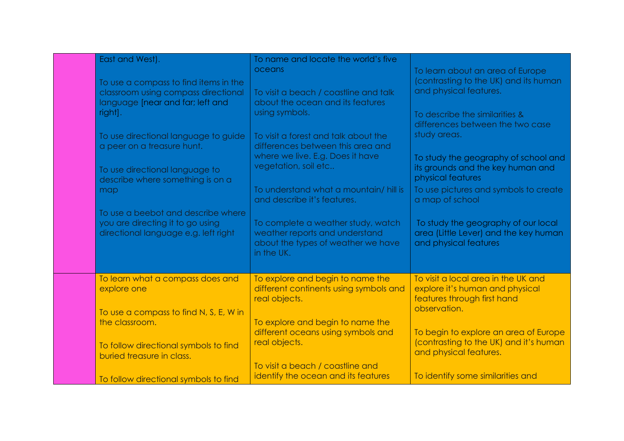| East and West).<br>To use a compass to find items in the<br>classroom using compass directional<br>language [near and far; left and<br>right].<br>To use directional language to guide<br>a peer on a treasure hunt.<br>To use directional language to<br>describe where something is on a<br>map<br>To use a beebot and describe where<br>you are directing it to go using<br>directional language e.g. left right | To name and locate the world's five<br>oceans<br>To visit a beach / coastline and talk<br>about the ocean and its features<br>using symbols.<br>To visit a forest and talk about the<br>differences between this area and<br>where we live. E.g. Does it have<br>vegetation, soil etc<br>To understand what a mountain/hill is<br>and describe it's features.<br>To complete a weather study, watch<br>weather reports and understand<br>about the types of weather we have<br>in the UK. | To learn about an area of Europe<br>(contrasting to the UK) and its human<br>and physical features.<br>To describe the similarities &<br>differences between the two case<br>study areas.<br>To study the geography of school and<br>its grounds and the key human and<br>physical features<br>To use pictures and symbols to create<br>a map of school<br>To study the geography of our local<br>area (Little Lever) and the key human<br>and physical features |
|---------------------------------------------------------------------------------------------------------------------------------------------------------------------------------------------------------------------------------------------------------------------------------------------------------------------------------------------------------------------------------------------------------------------|-------------------------------------------------------------------------------------------------------------------------------------------------------------------------------------------------------------------------------------------------------------------------------------------------------------------------------------------------------------------------------------------------------------------------------------------------------------------------------------------|------------------------------------------------------------------------------------------------------------------------------------------------------------------------------------------------------------------------------------------------------------------------------------------------------------------------------------------------------------------------------------------------------------------------------------------------------------------|
| To learn what a compass does and<br>explore one<br>To use a compass to find N, S, E, W in                                                                                                                                                                                                                                                                                                                           | To explore and begin to name the<br>different continents using symbols and<br>real objects.                                                                                                                                                                                                                                                                                                                                                                                               | To visit a local area in the UK and<br>explore it's human and physical<br>features through first hand<br>observation.                                                                                                                                                                                                                                                                                                                                            |
| the classroom.<br>To follow directional symbols to find<br>buried treasure in class.                                                                                                                                                                                                                                                                                                                                | To explore and begin to name the<br>different oceans using symbols and<br>real objects.                                                                                                                                                                                                                                                                                                                                                                                                   | To begin to explore an area of Europe<br>(contrasting to the UK) and it's human<br>and physical features.                                                                                                                                                                                                                                                                                                                                                        |
| To follow directional symbols to find                                                                                                                                                                                                                                                                                                                                                                               | To visit a beach / coastline and<br>identify the ocean and its features                                                                                                                                                                                                                                                                                                                                                                                                                   | To identify some similarities and                                                                                                                                                                                                                                                                                                                                                                                                                                |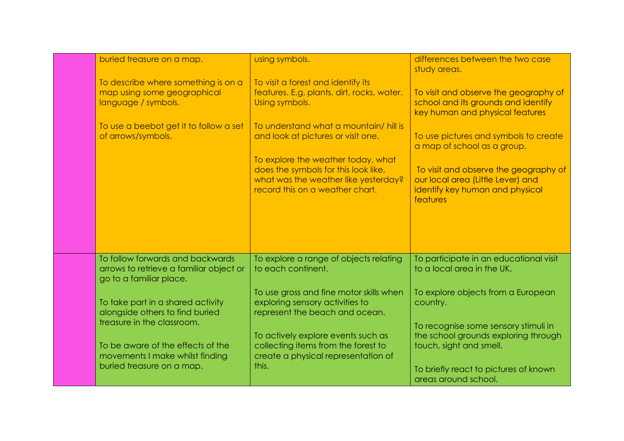| buried treasure on a map.                                                                              | using symbols.                                                                                                                                        | differences between the two case<br>study areas.                                                                          |
|--------------------------------------------------------------------------------------------------------|-------------------------------------------------------------------------------------------------------------------------------------------------------|---------------------------------------------------------------------------------------------------------------------------|
| To describe where something is on a<br>map using some geographical<br>language / symbols.              | To visit a forest and identify its<br>features. E.g. plants, dirt, rocks, water.<br>Using symbols.                                                    | To visit and observe the geography of<br>school and its grounds and identify<br>key human and physical features           |
| To use a beebot get it to follow a set<br>of arrows/symbols.                                           | To understand what a mountain/hill is<br>and look at pictures or visit one.                                                                           | To use pictures and symbols to create<br>a map of school as a group.                                                      |
|                                                                                                        | To explore the weather today, what<br>does the symbols for this look like,<br>what was the weather like yesterday?<br>record this on a weather chart. | To visit and observe the geography of<br>our local area (Little Lever) and<br>identify key human and physical<br>features |
|                                                                                                        |                                                                                                                                                       |                                                                                                                           |
| To follow forwards and backwards<br>arrows to retrieve a familiar object or<br>go to a familiar place. | To explore a range of objects relating<br>to each continent.                                                                                          | To participate in an educational visit<br>to a local area in the UK.                                                      |
| To take part in a shared activity<br>alongside others to find buried                                   | To use gross and fine motor skills when<br>exploring sensory activities to<br>represent the beach and ocean.                                          | To explore objects from a European<br>country.                                                                            |
| treasure in the classroom.<br>To be aware of the effects of the<br>movements I make whilst finding     | To actively explore events such as<br>collecting items from the forest to<br>create a physical representation of                                      | To recognise some sensory stimuli in<br>the school grounds exploring through<br>touch, sight and smell.                   |
| buried treasure on a map.                                                                              | this.                                                                                                                                                 | To briefly react to pictures of known<br>areas around school.                                                             |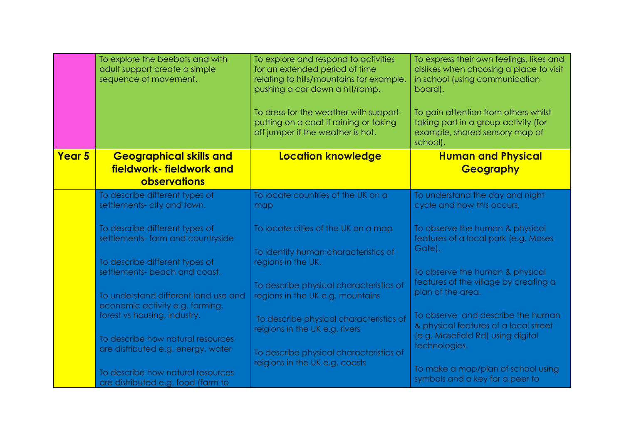|               | To explore the beebots and with<br>adult support create a simple<br>sequence of movement.                     | To explore and respond to activities<br>for an extended period of time<br>relating to hills/mountains for example,<br>pushing a car down a hill/ramp.<br>To dress for the weather with support-<br>putting on a coat if raining or taking | To express their own feelings, likes and<br>dislikes when choosing a place to visit<br>in school (using communication<br>board).<br>To gain attention from others whilst<br>taking part in a group activity (for |
|---------------|---------------------------------------------------------------------------------------------------------------|-------------------------------------------------------------------------------------------------------------------------------------------------------------------------------------------------------------------------------------------|------------------------------------------------------------------------------------------------------------------------------------------------------------------------------------------------------------------|
|               |                                                                                                               | off jumper if the weather is hot.                                                                                                                                                                                                         | example, shared sensory map of<br>school).                                                                                                                                                                       |
| <b>Year 5</b> | <b>Geographical skills and</b><br>fieldwork-fieldwork and<br>observations                                     | <b>Location knowledge</b>                                                                                                                                                                                                                 | <b>Human and Physical</b><br><b>Geography</b>                                                                                                                                                                    |
|               | To describe different types of<br>settlements- city and town.                                                 | To locate countries of the UK on a<br>map                                                                                                                                                                                                 | To understand the day and night<br>cycle and how this occurs,                                                                                                                                                    |
|               | To describe different types of<br>settlements- farm and countryside                                           | To locate cities of the UK on a map<br>To identify human characteristics of                                                                                                                                                               | To observe the human & physical<br>features of a local park (e.g. Moses<br>Gate).                                                                                                                                |
|               | To describe different types of<br>settlements- beach and coast.<br>To understand different land use and       | regions in the UK.<br>To describe physical characteristics of<br>regions in the UK e.g. mountains                                                                                                                                         | To observe the human & physical<br>features of the village by creating a<br>plan of the area.                                                                                                                    |
|               | economic activity e.g. farming,<br>forest vs housing, industry.<br>To describe how natural resources          | To describe physical characteristics of<br>reigions in the UK e.g. rivers                                                                                                                                                                 | To observe and describe the human<br>& physical features of a local street<br>(e.g. Masefield Rd) using digital                                                                                                  |
|               | are distributed e.g. energy, water<br>To describe how natural resources<br>are distributed e.g. food (farm to | To describe physical characteristics of<br>reigions in the UK e.g. coasts                                                                                                                                                                 | technologies.<br>To make a map/plan of school using<br>symbols and a key for a peer to                                                                                                                           |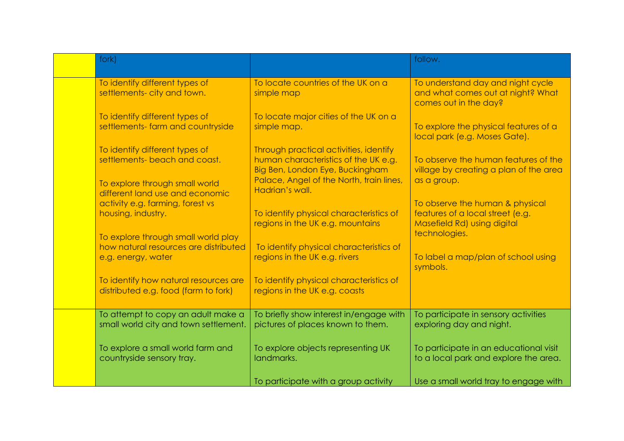| fork)                                                                                              |                                                                                                                                                               | follow.                                                                                            |
|----------------------------------------------------------------------------------------------------|---------------------------------------------------------------------------------------------------------------------------------------------------------------|----------------------------------------------------------------------------------------------------|
| To identify different types of<br>settlements- city and town.                                      | To locate countries of the UK on a<br>simple map                                                                                                              | To understand day and night cycle<br>and what comes out at night? What<br>comes out in the day?    |
| To identify different types of<br>settlements- farm and countryside                                | To locate major cities of the UK on a<br>simple map.                                                                                                          | To explore the physical features of a<br>local park (e.g. Moses Gate).                             |
| To identify different types of<br>settlements- beach and coast.<br>To explore through small world  | Through practical activities, identify<br>human characteristics of the UK e.g.<br>Big Ben, London Eye, Buckingham<br>Palace, Angel of the North, train lines, | To observe the human features of the<br>village by creating a plan of the area<br>as a group.      |
| different land use and economic<br>activity e.g. farming, forest vs<br>housing, industry.          | Hadrian's wall.<br>To identify physical characteristics of<br>regions in the UK e.g. mountains                                                                | To observe the human & physical<br>features of a local street (e.g.<br>Masefield Rd) using digital |
| To explore through small world play<br>how natural resources are distributed<br>e.g. energy, water | To identify physical characteristics of<br>regions in the UK e.g. rivers                                                                                      | technologies.<br>To label a map/plan of school using                                               |
| To identify how natural resources are<br>distributed e.g. food (farm to fork)                      | To identify physical characteristics of<br>regions in the UK e.g. coasts                                                                                      | symbols.                                                                                           |
| To attempt to copy an adult make a<br>small world city and town settlement.                        | To briefly show interest in/engage with<br>pictures of places known to them.                                                                                  | To participate in sensory activities<br>exploring day and night.                                   |
| To explore a small world farm and<br>countryside sensory tray.                                     | To explore objects representing UK<br>landmarks.                                                                                                              | To participate in an educational visit<br>to a local park and explore the area.                    |
|                                                                                                    | To participate with a group activity                                                                                                                          | Use a small world tray to engage with                                                              |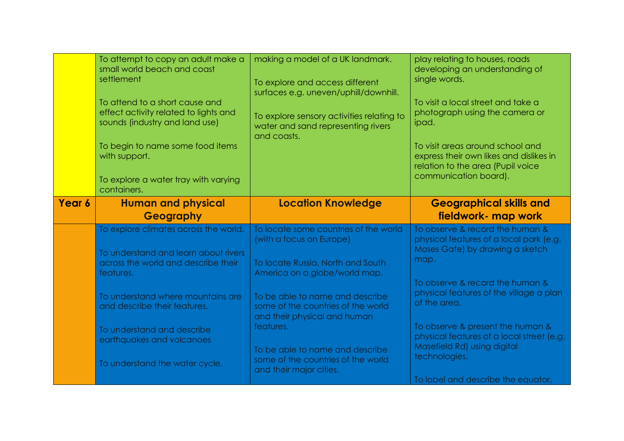|        | To attempt to copy an adult make a<br>small world beach and coast<br>settlement<br>To attend to a short cause and<br>effect activity related to lights and<br>sounds (industry and land use)<br>To begin to name some food items<br>with support.<br>To explore a water tray with varying<br>containers. | making a model of a UK landmark.<br>To explore and access different<br>surfaces e.g. uneven/uphill/downhill.<br>To explore sensory activities relating to<br>water and sand representing rivers<br>and coasts.                                                                                                                                                    | play relating to houses, roads<br>developing an understanding of<br>single words.<br>To visit a local street and take a<br>photograph using the camera or<br>ipad.<br>To visit areas around school and<br>express their own likes and dislikes in<br>relation to the area (Pupil voice<br>communication board).                                                                            |
|--------|----------------------------------------------------------------------------------------------------------------------------------------------------------------------------------------------------------------------------------------------------------------------------------------------------------|-------------------------------------------------------------------------------------------------------------------------------------------------------------------------------------------------------------------------------------------------------------------------------------------------------------------------------------------------------------------|--------------------------------------------------------------------------------------------------------------------------------------------------------------------------------------------------------------------------------------------------------------------------------------------------------------------------------------------------------------------------------------------|
| Year 6 | <b>Human and physical</b><br>Geography                                                                                                                                                                                                                                                                   | <b>Location Knowledge</b>                                                                                                                                                                                                                                                                                                                                         | <b>Geographical skills and</b><br>fieldwork- map work                                                                                                                                                                                                                                                                                                                                      |
|        | To explore climates across the world.<br>To understand and learn about rivers<br>across the world and describe their<br>features.<br>To understand where mountains are<br>and describe their features.<br>To understand and describe<br>earthquakes and volcanoes<br>To understand the water cycle.      | To locate some countries of the world<br>(with a focus on Europe)<br>To locate Russia, North and South<br>America on a globe/world map.<br>To be able to name and describe<br>some of the countries of the world<br>and their physical and human<br>features.<br>To be able to name and describe<br>some of the countries of the world<br>and their major cities. | To observe & record the human &<br>physical features of a local park (e.g.<br>Moses Gate) by drawing a sketch<br>map.<br>To observe & record the human &<br>physical features of the village a plan<br>of the area.<br>To observe & present the human &<br>physical features of a local street (e.g.<br>Masefield Rd) using digital<br>technologies.<br>To label and describe the equator, |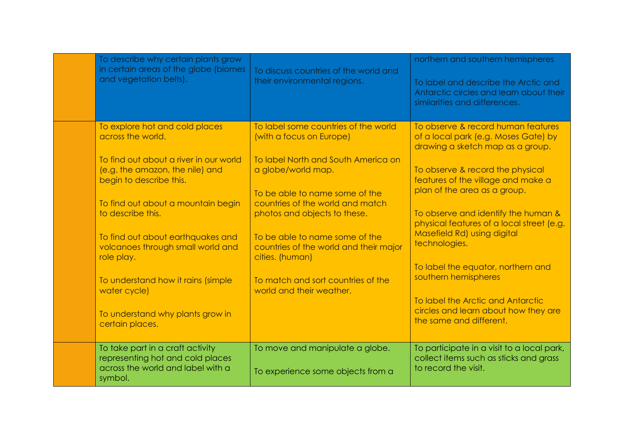| To describe why certain plants grow<br>in certain areas of the globe (biomes<br>and vegetation belts).               | To discuss countries of the world and<br>their environmental regions.                              | northern and southern hemispheres<br>To label and describe the Arctic and<br>Antarctic circles and learn about their<br>similarities and differences. |
|----------------------------------------------------------------------------------------------------------------------|----------------------------------------------------------------------------------------------------|-------------------------------------------------------------------------------------------------------------------------------------------------------|
| To explore hot and cold places<br>across the world.                                                                  | To label some countries of the world<br>(with a focus on Europe)                                   | To observe & record human features<br>of a local park (e.g. Moses Gate) by<br>drawing a sketch map as a group.                                        |
| To find out about a river in our world<br>(e.g. the amazon, the nile) and<br>begin to describe this.                 | To label North and South America on<br>a globe/world map.                                          | To observe & record the physical<br>features of the village and make a<br>plan of the area as a group.                                                |
| To find out about a mountain begin<br>to describe this.                                                              | To be able to name some of the<br>countries of the world and match<br>photos and objects to these. | To observe and identify the human &<br>physical features of a local street (e.g.                                                                      |
| To find out about earthquakes and<br>volcanoes through small world and<br>role play.                                 | To be able to name some of the<br>countries of the world and their major<br>cities. (human)        | Masefield Rd) using digital<br>technologies.                                                                                                          |
| To understand how it rains (simple<br>water cycle)                                                                   | To match and sort countries of the<br>world and their weather.                                     | To label the equator, northern and<br>southern hemispheres                                                                                            |
| To understand why plants grow in<br>certain places.                                                                  |                                                                                                    | To label the Arctic and Antarctic<br>circles and learn about how they are<br>the same and different.                                                  |
| To take part in a craft activity<br>representing hot and cold places<br>across the world and label with a<br>symbol. | To move and manipulate a globe.<br>To experience some objects from a                               | To participate in a visit to a local park,<br>collect items such as sticks and grass<br>to record the visit.                                          |